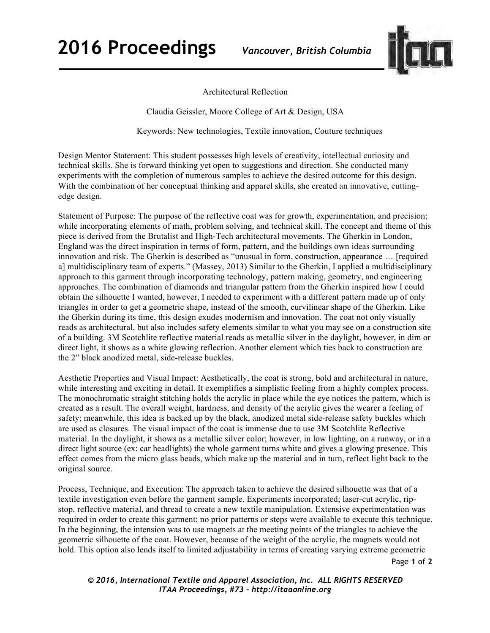**2016 Proceedings** *Vancouver, British Columbia* 



Architectural Reflection

Claudia Geissler, Moore College of Art & Design, USA

Keywords: New technologies, Textile innovation, Couture techniques

Design Mentor Statement: This student possesses high levels of creativity, intellectual curiosity and technical skills. She is forward thinking yet open to suggestions and direction. She conducted many experiments with the completion of numerous samples to achieve the desired outcome for this design. With the combination of her conceptual thinking and apparel skills, she created an innovative, cuttingedge design.

Statement of Purpose: The purpose of the reflective coat was for growth, experimentation, and precision; while incorporating elements of math, problem solving, and technical skill. The concept and theme of this piece is derived from the Brutalist and High-Tech architectural movements. The Gherkin in London, England was the direct inspiration in terms of form, pattern, and the buildings own ideas surrounding innovation and risk. The Gherkin is described as "unusual in form, construction, appearance … [required a] multidisciplinary team of experts." (Massey, 2013) Similar to the Gherkin, I applied a multidisciplinary approach to this garment through incorporating technology, pattern making, geometry, and engineering approaches. The combination of diamonds and triangular pattern from the Gherkin inspired how I could obtain the silhouette I wanted, however, I needed to experiment with a different pattern made up of only triangles in order to get a geometric shape, instead of the smooth, curvilinear shape of the Gherkin. Like the Gherkin during its time, this design exudes modernism and innovation. The coat not only visually reads as architectural, but also includes safety elements similar to what you may see on a construction site of a building. 3M Scotchlite reflective material reads as metallic silver in the daylight, however, in dim or direct light, it shows as a white glowing reflection. Another element which ties back to construction are the 2" black anodized metal, side-release buckles.

Aesthetic Properties and Visual Impact: Aesthetically, the coat is strong, bold and architectural in nature, while interesting and exciting in detail. It exemplifies a simplistic feeling from a highly complex process. The monochromatic straight stitching holds the acrylic in place while the eye notices the pattern, which is created as a result. The overall weight, hardness, and density of the acrylic gives the wearer a feeling of safety; meanwhile, this idea is backed up by the black, anodized metal side-release safety buckles which are used as closures. The visual impact of the coat is immense due to use 3M Scotchlite Reflective material. In the daylight, it shows as a metallic silver color; however, in low lighting, on a runway, or in a direct light source (ex: car headlights) the whole garment turns white and gives a glowing presence. This effect comes from the micro glass beads, which make up the material and in turn, reflect light back to the original source.

Process, Technique, and Execution: The approach taken to achieve the desired silhouette was that of a textile investigation even before the garment sample. Experiments incorporated; laser-cut acrylic, ripstop, reflective material, and thread to create a new textile manipulation. Extensive experimentation was required in order to create this garment; no prior patterns or steps were available to execute this technique. In the beginning, the intension was to use magnets at the meeting points of the triangles to achieve the geometric silhouette of the coat. However, because of the weight of the acrylic, the magnets would not hold. This option also lends itself to limited adjustability in terms of creating varying extreme geometric

Page **1** of **2** 

*© 2016, International Textile and Apparel Association, Inc. ALL RIGHTS RESERVED ITAA Proceedings, #73 – http://itaaonline.org*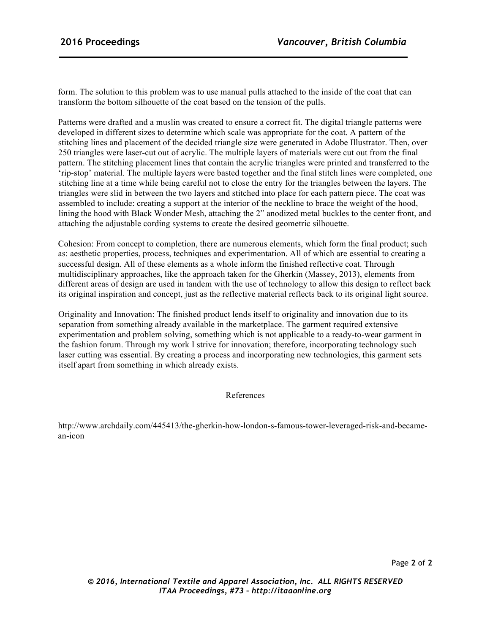form. The solution to this problem was to use manual pulls attached to the inside of the coat that can transform the bottom silhouette of the coat based on the tension of the pulls.

Patterns were drafted and a muslin was created to ensure a correct fit. The digital triangle patterns were developed in different sizes to determine which scale was appropriate for the coat. A pattern of the stitching lines and placement of the decided triangle size were generated in Adobe Illustrator. Then, over 250 triangles were laser-cut out of acrylic. The multiple layers of materials were cut out from the final pattern. The stitching placement lines that contain the acrylic triangles were printed and transferred to the 'rip-stop' material. The multiple layers were basted together and the final stitch lines were completed, one stitching line at a time while being careful not to close the entry for the triangles between the layers. The triangles were slid in between the two layers and stitched into place for each pattern piece. The coat was assembled to include: creating a support at the interior of the neckline to brace the weight of the hood, lining the hood with Black Wonder Mesh, attaching the 2" anodized metal buckles to the center front, and attaching the adjustable cording systems to create the desired geometric silhouette.

Cohesion: From concept to completion, there are numerous elements, which form the final product; such as: aesthetic properties, process, techniques and experimentation. All of which are essential to creating a successful design. All of these elements as a whole inform the finished reflective coat. Through multidisciplinary approaches, like the approach taken for the Gherkin (Massey, 2013), elements from different areas of design are used in tandem with the use of technology to allow this design to reflect back its original inspiration and concept, just as the reflective material reflects back to its original light source.

Originality and Innovation: The finished product lends itself to originality and innovation due to its separation from something already available in the marketplace. The garment required extensive experimentation and problem solving, something which is not applicable to a ready-to-wear garment in the fashion forum. Through my work I strive for innovation; therefore, incorporating technology such laser cutting was essential. By creating a process and incorporating new technologies, this garment sets itself apart from something in which already exists.

References

http://www.archdaily.com/445413/the-gherkin-how-london-s-famous-tower-leveraged-risk-and-becamean-icon